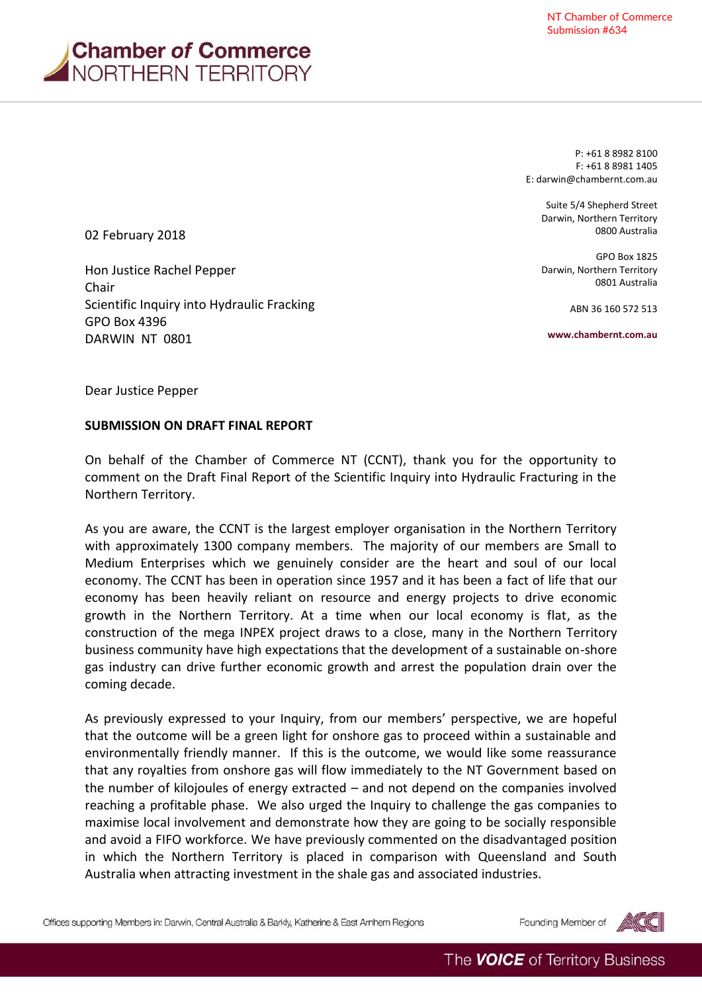

P: +61 8 8982 8100 F: +61 8 8981 1405 E[: darwin@chambernt.com.au](mailto:darwin@chambernt.com.au)

> Suite 5/4 Shepherd Street Darwin, Northern Territory 0800 Australia

> GPO Box 1825 Darwin, Northern Territory 0801 Australia

> > ABN 36 160 572 513

**www.chambernt.com.au**

02 February 2018

Hon Justice Rachel Pepper Chair Scientific Inquiry into Hydraulic Fracking GPO Box 4396 DARWIN NT 0801

Dear Justice Pepper

## **SUBMISSION ON DRAFT FINAL REPORT**

On behalf of the Chamber of Commerce NT (CCNT), thank you for the opportunity to comment on the Draft Final Report of the Scientific Inquiry into Hydraulic Fracturing in the Northern Territory.

As you are aware, the CCNT is the largest employer organisation in the Northern Territory with approximately 1300 company members. The majority of our members are Small to Medium Enterprises which we genuinely consider are the heart and soul of our local economy. The CCNT has been in operation since 1957 and it has been a fact of life that our economy has been heavily reliant on resource and energy projects to drive economic growth in the Northern Territory. At a time when our local economy is flat, as the construction of the mega INPEX project draws to a close, many in the Northern Territory business community have high expectations that the development of a sustainable on-shore gas industry can drive further economic growth and arrest the population drain over the coming decade.

As previously expressed to your Inquiry, from our members' perspective, we are hopeful that the outcome will be a green light for onshore gas to proceed within a sustainable and environmentally friendly manner. If this is the outcome, we would like some reassurance that any royalties from onshore gas will flow immediately to the NT Government based on the number of kilojoules of energy extracted – and not depend on the companies involved reaching a profitable phase. We also urged the Inquiry to challenge the gas companies to maximise local involvement and demonstrate how they are going to be socially responsible and avoid a FIFO workforce. We have previously commented on the disadvantaged position in which the Northern Territory is placed in comparison with Queensland and South Australia when attracting investment in the shale gas and associated industries.

Offices supporting Members in: Darwin, Central Australia & Barkly, Katherine & East Arnhem Regions

Founding Member of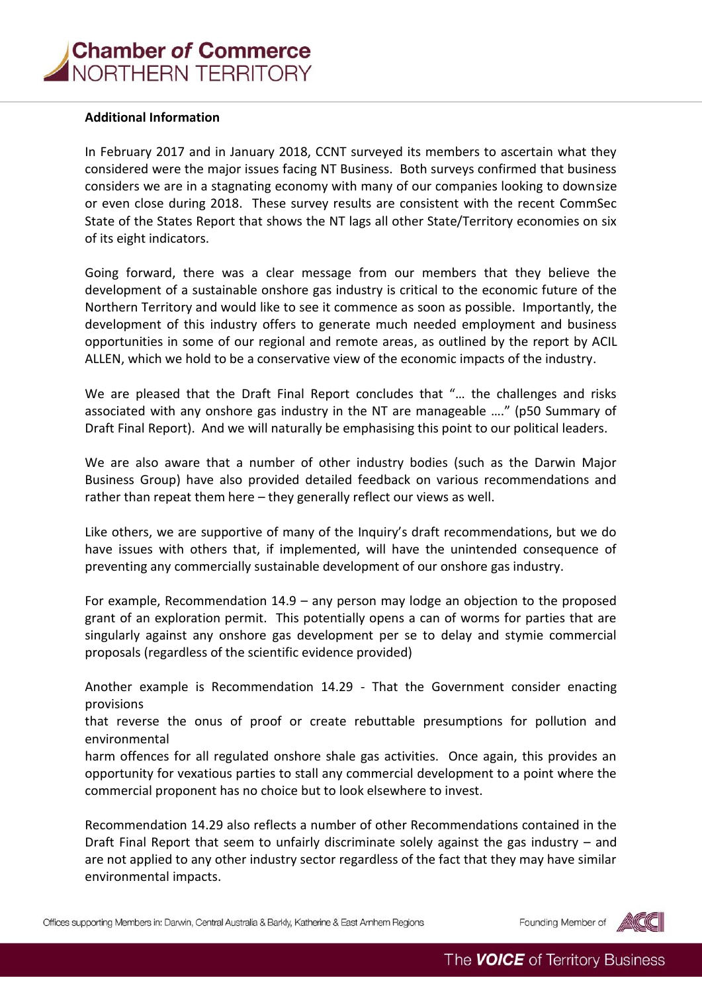## **Additional Information**

In February 2017 and in January 2018, CCNT surveyed its members to ascertain what they considered were the major issues facing NT Business. Both surveys confirmed that business considers we are in a stagnating economy with many of our companies looking to downsize or even close during 2018. These survey results are consistent with the recent CommSec State of the States Report that shows the NT lags all other State/Territory economies on six of its eight indicators.

Going forward, there was a clear message from our members that they believe the development of a sustainable onshore gas industry is critical to the economic future of the Northern Territory and would like to see it commence as soon as possible. Importantly, the development of this industry offers to generate much needed employment and business opportunities in some of our regional and remote areas, as outlined by the report by ACIL ALLEN, which we hold to be a conservative view of the economic impacts of the industry.

We are pleased that the Draft Final Report concludes that "… the challenges and risks associated with any onshore gas industry in the NT are manageable …." (p50 Summary of Draft Final Report). And we will naturally be emphasising this point to our political leaders.

We are also aware that a number of other industry bodies (such as the Darwin Major Business Group) have also provided detailed feedback on various recommendations and rather than repeat them here – they generally reflect our views as well.

Like others, we are supportive of many of the Inquiry's draft recommendations, but we do have issues with others that, if implemented, will have the unintended consequence of preventing any commercially sustainable development of our onshore gas industry.

For example, Recommendation 14.9 – any person may lodge an objection to the proposed grant of an exploration permit. This potentially opens a can of worms for parties that are singularly against any onshore gas development per se to delay and stymie commercial proposals (regardless of the scientific evidence provided)

Another example is Recommendation 14.29 - That the Government consider enacting provisions

that reverse the onus of proof or create rebuttable presumptions for pollution and environmental

harm offences for all regulated onshore shale gas activities. Once again, this provides an opportunity for vexatious parties to stall any commercial development to a point where the commercial proponent has no choice but to look elsewhere to invest.

Recommendation 14.29 also reflects a number of other Recommendations contained in the Draft Final Report that seem to unfairly discriminate solely against the gas industry – and are not applied to any other industry sector regardless of the fact that they may have similar environmental impacts.

Offices supporting Members in: Darwin, Central Australia & Barkly, Katherine & East Arnhem Regions

Founding Member of